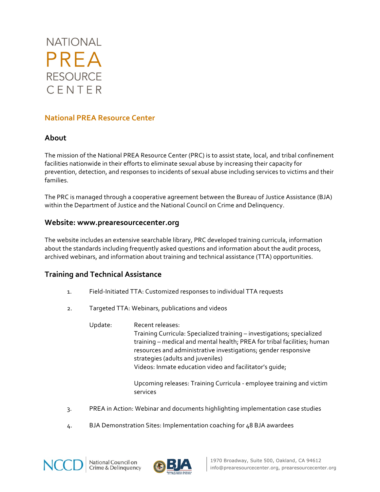

# **National PREA Resource Center**

### **About**

The mission of the National PREA Resource Center (PRC) is to assist state, local, and tribal confinement facilities nationwide in their efforts to eliminate sexual abuse by increasing their capacity for prevention, detection, and responses to incidents of sexual abuse including services to victims and their families.

The PRC is managed through a cooperative agreement between the Bureau of Justice Assistance (BJA) within the Department of Justice and the National Council on Crime and Delinquency.

### **Website: www.prearesourcecenter.org**

The website includes an extensive searchable library, PRC developed training curricula, information about the standards including frequently asked questions and information about the audit process, archived webinars, and information about training and technical assistance (TTA) opportunities.

## **Training and Technical Assistance**

- 1. Field-Initiated TTA: Customized responses to individual TTA requests
- 2. Targeted TTA: Webinars, publications and videos
	- Update: Recent releases: Training Curricula: Specialized training - investigations; specialized training – medical and mental health; PREA for tribal facilities; human resources and administrative investigations; gender responsive strategies (adults and juveniles) Videos: Inmate education video and facilitator's quide;

Upcoming releases: Training Curricula - employee training and victim services

- 3. PREA in Action: Webinar and documents highlighting implementation case studies
- 4. BJA Demonstration Sites: Implementation coaching for 48 BJA awardees